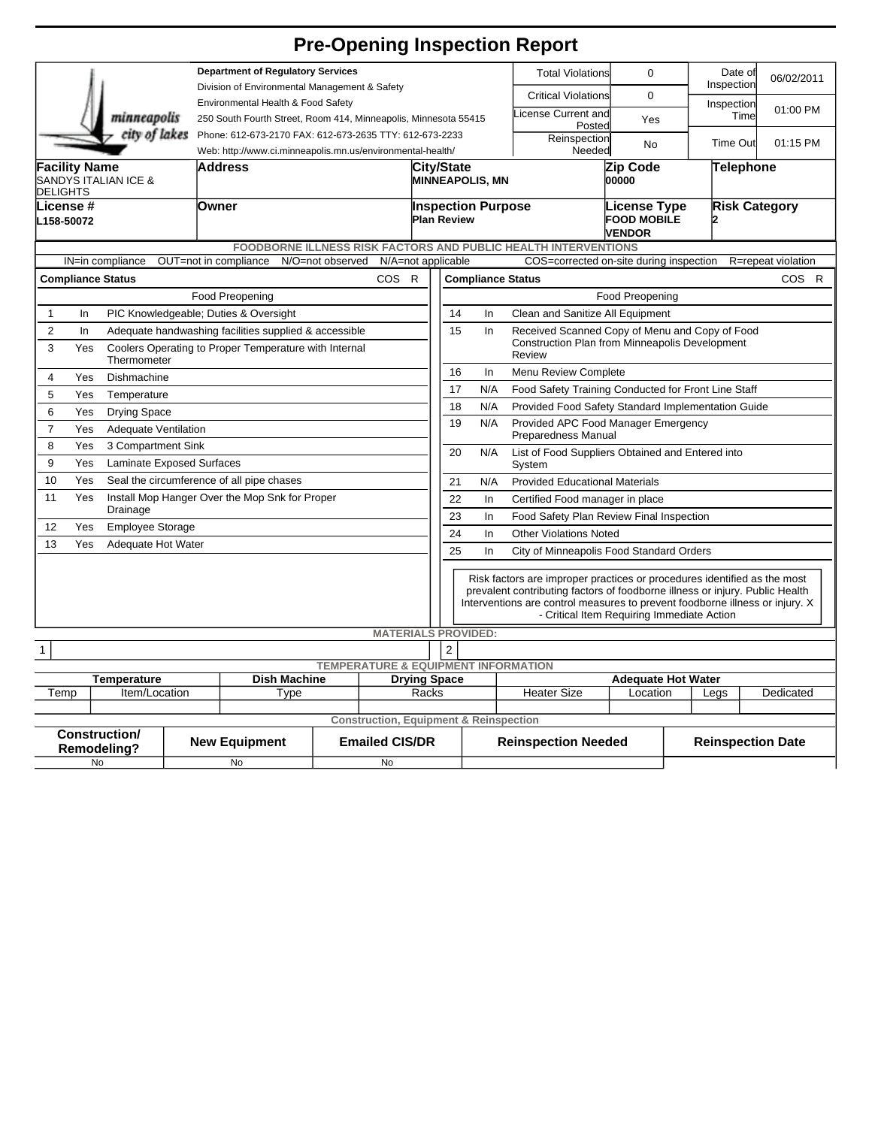## **Pre-Opening Inspection Report**

|                                                                           |                                                                             |  | <b>Department of Regulatory Services</b>                                            |                  |                       |                                                                                             |                                                                                                                                                                                                                                                                                        |                                                                         |                            | <b>Total Violations</b>                                    | $\Omega$                 |                      | Date of<br>Inspection | 06/02/2011         |
|---------------------------------------------------------------------------|-----------------------------------------------------------------------------|--|-------------------------------------------------------------------------------------|------------------|-----------------------|---------------------------------------------------------------------------------------------|----------------------------------------------------------------------------------------------------------------------------------------------------------------------------------------------------------------------------------------------------------------------------------------|-------------------------------------------------------------------------|----------------------------|------------------------------------------------------------|--------------------------|----------------------|-----------------------|--------------------|
| minneapolis                                                               |                                                                             |  | Division of Environmental Management & Safety<br>Environmental Health & Food Safety |                  |                       |                                                                                             |                                                                                                                                                                                                                                                                                        |                                                                         |                            | <b>Critical Violations</b>                                 | $\Omega$                 |                      | Inspection            |                    |
|                                                                           |                                                                             |  | 250 South Fourth Street, Room 414, Minneapolis, Minnesota 55415                     |                  |                       |                                                                                             |                                                                                                                                                                                                                                                                                        |                                                                         |                            | icense Current and<br>Posted                               | Yes                      |                      | Time                  | 01:00 PM           |
|                                                                           | city of lakes                                                               |  | Phone: 612-673-2170 FAX: 612-673-2635 TTY: 612-673-2233                             |                  |                       |                                                                                             |                                                                                                                                                                                                                                                                                        |                                                                         |                            | Reinspection                                               | No                       |                      | <b>Time Out</b>       | 01:15 PM           |
|                                                                           |                                                                             |  | Web: http://www.ci.minneapolis.mn.us/environmental-health/                          |                  |                       |                                                                                             |                                                                                                                                                                                                                                                                                        | Needed                                                                  |                            |                                                            |                          |                      |                       |                    |
| <b>Facility Name</b><br>SANDYS ITALIAN ICE &<br><b>DELIGHTS</b>           |                                                                             |  | Address                                                                             |                  |                       |                                                                                             | City/State<br><b>MINNEAPOLIS, MN</b>                                                                                                                                                                                                                                                   |                                                                         |                            | Zip Code<br>00000                                          |                          | Telephone            |                       |                    |
| lLicense #<br>L158-50072                                                  |                                                                             |  | <b>Owner</b>                                                                        |                  |                       |                                                                                             | <b>Inspection Purpose</b><br><b>Plan Review</b>                                                                                                                                                                                                                                        |                                                                         |                            | <b>License Type</b><br><b>FOOD MOBILE</b><br><b>VENDOR</b> |                          | <b>Risk Category</b> |                       |                    |
| <b>FOODBORNE ILLNESS RISK FACTORS AND PUBLIC HEALTH INTERVENTIONS</b>     |                                                                             |  |                                                                                     |                  |                       |                                                                                             |                                                                                                                                                                                                                                                                                        |                                                                         |                            |                                                            |                          |                      |                       |                    |
|                                                                           | IN=in compliance                                                            |  | OUT=not in compliance                                                               | N/O=not observed | N/A=not applicable    |                                                                                             |                                                                                                                                                                                                                                                                                        |                                                                         |                            | COS=corrected on-site during inspection                    |                          |                      |                       | R=repeat violation |
| <b>Compliance Status</b><br>COS R                                         |                                                                             |  |                                                                                     |                  |                       | <b>Compliance Status</b><br>COS R                                                           |                                                                                                                                                                                                                                                                                        |                                                                         |                            |                                                            |                          |                      |                       |                    |
|                                                                           |                                                                             |  | Food Preopening                                                                     |                  |                       |                                                                                             | Food Preopening                                                                                                                                                                                                                                                                        |                                                                         |                            |                                                            |                          |                      |                       |                    |
| $\mathbf{1}$<br>In                                                        |                                                                             |  | PIC Knowledgeable; Duties & Oversight                                               |                  |                       |                                                                                             | Clean and Sanitize All Equipment<br>14<br>In                                                                                                                                                                                                                                           |                                                                         |                            |                                                            |                          |                      |                       |                    |
| $\overline{2}$<br>In                                                      |                                                                             |  | Adequate handwashing facilities supplied & accessible                               |                  |                       |                                                                                             | Received Scanned Copy of Menu and Copy of Food<br>15<br>In                                                                                                                                                                                                                             |                                                                         |                            |                                                            |                          |                      |                       |                    |
| 3                                                                         | Yes<br>Coolers Operating to Proper Temperature with Internal<br>Thermometer |  |                                                                                     |                  |                       |                                                                                             |                                                                                                                                                                                                                                                                                        | Construction Plan from Minneapolis Development<br>Review                |                            |                                                            |                          |                      |                       |                    |
| 4                                                                         | Yes<br>Dishmachine                                                          |  |                                                                                     |                  |                       |                                                                                             | 16<br>In<br>Menu Review Complete                                                                                                                                                                                                                                                       |                                                                         |                            |                                                            |                          |                      |                       |                    |
| 5                                                                         | Yes<br>Temperature                                                          |  |                                                                                     |                  |                       |                                                                                             |                                                                                                                                                                                                                                                                                        | 17<br>N/A<br>Food Safety Training Conducted for Front Line Staff        |                            |                                                            |                          |                      |                       |                    |
| 6                                                                         | <b>Drying Space</b><br>Yes                                                  |  |                                                                                     |                  |                       |                                                                                             |                                                                                                                                                                                                                                                                                        | N/A<br>Provided Food Safety Standard Implementation Guide<br>18         |                            |                                                            |                          |                      |                       |                    |
| $\overline{7}$                                                            | Yes<br>Adequate Ventilation                                                 |  |                                                                                     |                  |                       |                                                                                             |                                                                                                                                                                                                                                                                                        | 19<br>N/A<br>Provided APC Food Manager Emergency<br>Preparedness Manual |                            |                                                            |                          |                      |                       |                    |
| 8<br>Yes<br>3 Compartment Sink                                            |                                                                             |  |                                                                                     |                  |                       | 20<br>N/A<br>List of Food Suppliers Obtained and Entered into                               |                                                                                                                                                                                                                                                                                        |                                                                         |                            |                                                            |                          |                      |                       |                    |
| 9<br>Yes<br><b>Laminate Exposed Surfaces</b>                              |                                                                             |  |                                                                                     |                  |                       |                                                                                             | System                                                                                                                                                                                                                                                                                 |                                                                         |                            |                                                            |                          |                      |                       |                    |
| 10<br>Yes<br>Seal the circumference of all pipe chases                    |                                                                             |  |                                                                                     |                  |                       |                                                                                             | <b>Provided Educational Materials</b><br>21<br>N/A                                                                                                                                                                                                                                     |                                                                         |                            |                                                            |                          |                      |                       |                    |
| 11<br>Yes<br>Install Mop Hanger Over the Mop Snk for Proper<br>Drainage   |                                                                             |  |                                                                                     |                  |                       | 22<br>In<br>Certified Food manager in place<br>23                                           |                                                                                                                                                                                                                                                                                        |                                                                         |                            |                                                            |                          |                      |                       |                    |
| 12<br>Yes<br><b>Employee Storage</b>                                      |                                                                             |  |                                                                                     |                  |                       | Food Safety Plan Review Final Inspection<br>In<br>24<br><b>Other Violations Noted</b><br>In |                                                                                                                                                                                                                                                                                        |                                                                         |                            |                                                            |                          |                      |                       |                    |
| 13<br>Adequate Hot Water<br>Yes                                           |                                                                             |  |                                                                                     |                  |                       |                                                                                             | 25                                                                                                                                                                                                                                                                                     |                                                                         |                            |                                                            |                          |                      |                       |                    |
|                                                                           |                                                                             |  |                                                                                     |                  |                       |                                                                                             |                                                                                                                                                                                                                                                                                        | In<br>City of Minneapolis Food Standard Orders                          |                            |                                                            |                          |                      |                       |                    |
|                                                                           |                                                                             |  |                                                                                     |                  |                       |                                                                                             | Risk factors are improper practices or procedures identified as the most<br>prevalent contributing factors of foodborne illness or injury. Public Health<br>Interventions are control measures to prevent foodborne illness or injury. X<br>- Critical Item Requiring Immediate Action |                                                                         |                            |                                                            |                          |                      |                       |                    |
| <b>MATERIALS PROVIDED:</b>                                                |                                                                             |  |                                                                                     |                  |                       |                                                                                             |                                                                                                                                                                                                                                                                                        |                                                                         |                            |                                                            |                          |                      |                       |                    |
| 2<br>$\mathbf{1}$<br><b>TEMPERATURE &amp; EQUIPMENT INFORMATION</b>       |                                                                             |  |                                                                                     |                  |                       |                                                                                             |                                                                                                                                                                                                                                                                                        |                                                                         |                            |                                                            |                          |                      |                       |                    |
| <b>Dish Machine</b><br><b>Drying Space</b><br>Temperature                 |                                                                             |  |                                                                                     |                  |                       | <b>Adequate Hot Water</b>                                                                   |                                                                                                                                                                                                                                                                                        |                                                                         |                            |                                                            |                          |                      |                       |                    |
| Temp<br>Item/Location                                                     |                                                                             |  | Type                                                                                |                  | Racks                 |                                                                                             |                                                                                                                                                                                                                                                                                        |                                                                         |                            | <b>Heater Size</b>                                         | Location                 |                      | Legs                  | Dedicated          |
|                                                                           |                                                                             |  |                                                                                     |                  |                       |                                                                                             |                                                                                                                                                                                                                                                                                        |                                                                         |                            |                                                            |                          |                      |                       |                    |
| <b>Construction, Equipment &amp; Reinspection</b><br><b>Construction/</b> |                                                                             |  |                                                                                     |                  |                       |                                                                                             |                                                                                                                                                                                                                                                                                        |                                                                         |                            |                                                            |                          |                      |                       |                    |
| Remodeling?                                                               |                                                                             |  | <b>New Equipment</b>                                                                |                  | <b>Emailed CIS/DR</b> |                                                                                             |                                                                                                                                                                                                                                                                                        |                                                                         | <b>Reinspection Needed</b> |                                                            | <b>Reinspection Date</b> |                      |                       |                    |
| No                                                                        |                                                                             |  | <b>No</b>                                                                           |                  | <b>No</b>             |                                                                                             |                                                                                                                                                                                                                                                                                        |                                                                         |                            |                                                            |                          |                      |                       |                    |